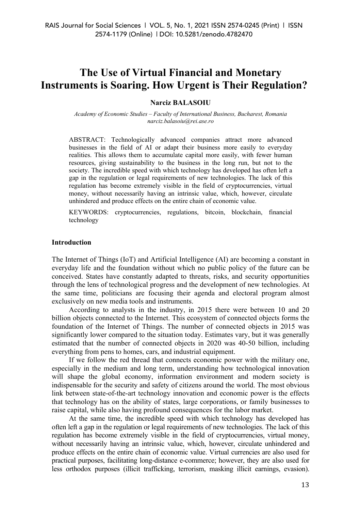# **The Use of Virtual Financial and Monetary Instruments is Soaring. How Urgent is Their Regulation?**

## **Narciz BALASOIU**

*Academy of Economic Studies – Faculty of International Business, Bucharest, Romania narciz.balasoiu@rei.ase.ro*

ABSTRACT: Technologically advanced companies attract more advanced businesses in the field of AI or adapt their business more easily to everyday realities. This allows them to accumulate capital more easily, with fewer human resources, giving sustainability to the business in the long run, but not to the society. The incredible speed with which technology has developed has often left a gap in the regulation or legal requirements of new technologies. The lack of this regulation has become extremely visible in the field of cryptocurrencies, virtual money, without necessarily having an intrinsic value, which, however, circulate unhindered and produce effects on the entire chain of economic value.

KEYWORDS: cryptocurrencies, regulations, bitcoin, blockchain, financial technology

## **Introduction**

The Internet of Things (IoT) and Artificial Intelligence (AI) are becoming a constant in everyday life and the foundation without which no public policy of the future can be conceived. States have constantly adapted to threats, risks, and security opportunities through the lens of technological progress and the development of new technologies. At the same time, politicians are focusing their agenda and electoral program almost exclusively on new media tools and instruments.

According to analysts in the industry, in 2015 there were between 10 and 20 billion objects connected to the Internet. This ecosystem of connected objects forms the foundation of the Internet of Things. The number of connected objects in 2015 was significantly lower compared to the situation today. Estimates vary, but it was generally estimated that the number of connected objects in 2020 was 40-50 billion, including everything from pens to homes, cars, and industrial equipment.

If we follow the red thread that connects economic power with the military one, especially in the medium and long term, understanding how technological innovation will shape the global economy, information environment and modern society is indispensable for the security and safety of citizens around the world. The most obvious link between state-of-the-art technology innovation and economic power is the effects that technology has on the ability of states, large corporations, or family businesses to raise capital, while also having profound consequences for the labor market.

At the same time, the incredible speed with which technology has developed has often left a gap in the regulation or legal requirements of new technologies. The lack of this regulation has become extremely visible in the field of cryptocurrencies, virtual money, without necessarily having an intrinsic value, which, however, circulate unhindered and produce effects on the entire chain of economic value. Virtual currencies are also used for practical purposes, facilitating long-distance e-commerce; however, they are also used for less orthodox purposes (illicit trafficking, terrorism, masking illicit earnings, evasion).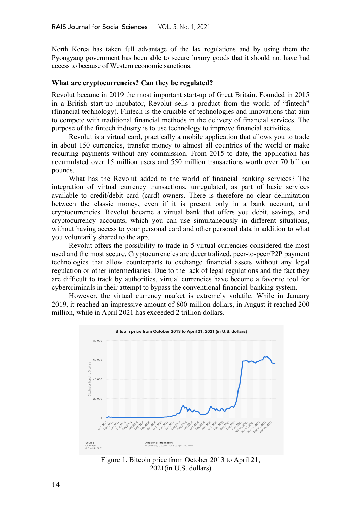North Korea has taken full advantage of the lax regulations and by using them the Pyongyang government has been able to secure luxury goods that it should not have had access to because of Western economic sanctions.

# **What are cryptocurrencies? Can they be regulated?**

Revolut became in 2019 the most important start-up of Great Britain. Founded in 2015 in a British start-up incubator, Revolut sells a product from the world of "fintech" (financial technology). Fintech is the crucible of technologies and innovations that aim to compete with traditional financial methods in the delivery of financial services. The purpose of the fintech industry is to use technology to improve financial activities.

Revolut is a virtual card, practically a mobile application that allows you to trade in about 150 currencies, transfer money to almost all countries of the world or make recurring payments without any commission. From 2015 to date, the application has accumulated over 15 million users and 550 million transactions worth over 70 billion pounds.

What has the Revolut added to the world of financial banking services? The integration of virtual currency transactions, unregulated, as part of basic services available to credit/debit card (card) owners. There is therefore no clear delimitation between the classic money, even if it is present only in a bank account, and cryptocurrencies. Revolut became a virtual bank that offers you debit, savings, and cryptocurrency accounts, which you can use simultaneously in different situations, without having access to your personal card and other personal data in addition to what you voluntarily shared to the app.

Revolut offers the possibility to trade in 5 virtual currencies considered the most used and the most secure. Cryptocurrencies are decentralized, peer-to-peer/P2P payment technologies that allow counterparts to exchange financial assets without any legal regulation or other intermediaries. Due to the lack of legal regulations and the fact they are difficult to track by authorities, virtual currencies have become a favorite tool for cybercriminals in their attempt to bypass the conventional financial-banking system.

However, the virtual currency market is extremely volatile. While in January 2019, it reached an impressive amount of 800 million dollars, in August it reached 200 million, while in April 2021 has exceeded 2 trillion dollars.



Figure 1. Bitcoin price from October 2013 to April 21, 2021(in U.S. dollars)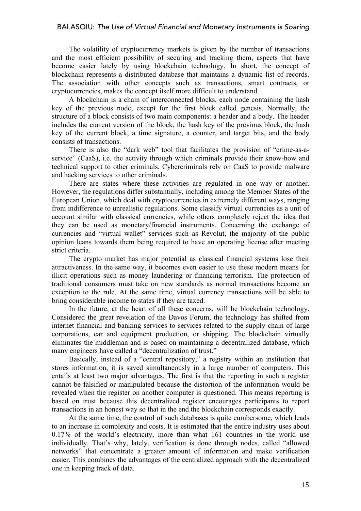## BALASOIU: *The Use of Virtual Financial and Monetary Instruments is Soaring*

The volatility of cryptocurrency markets is given by the number of transactions and the most efficient possibility of securing and tracking them, aspects that have become easier lately by using blockchain technology. In short, the concept of blockchain represents a distributed database that maintains a dynamic list of records. The association with other concepts such as transactions, smart contracts, or cryptocurrencies, makes the concept itself more difficult to understand.

A blockchain is a chain of interconnected blocks, each node containing the hash key of the previous node, except for the first block called genesis. Normally, the structure of a block consists of two main components: a header and a body. The header includes the current version of the block, the hash key of the previous block, the hash key of the current block, a time signature, a counter, and target bits, and the body consists of transactions.

There is also the "dark web" tool that facilitates the provision of "crime-as-aservice" (CaaS), i.e. the activity through which criminals provide their know-how and technical support to other criminals. Cybercriminals rely on CaaS to provide malware and hacking services to other criminals.

There are states where these activities are regulated in one way or another. However, the regulations differ substantially, including among the Member States of the European Union, which deal with cryptocurrencies in extremely different ways, ranging from indifference to unrealistic regulations. Some classify virtual currencies as a unit of account similar with classical currencies, while others completely reject the idea that they can be used as monetary/financial instruments. Concerning the exchange of currencies and "virtual wallet" services such as Revolut, the majority of the public opinion leans towards them being required to have an operating license after meeting strict criteria.

The crypto market has major potential as classical financial systems lose their attractiveness. In the same way, it becomes even easier to use these modern means for illicit operations such as money laundering or financing terrorism. The protection of traditional consumers must take on new standards as normal transactions become an exception to the rule. At the same time, virtual currency transactions will be able to bring considerable income to states if they are taxed.

In the future, at the heart of all these concerns, will be blockchain technology. Considered the great revelation of the Davos Forum, the technology has shifted from internet financial and banking services to services related to the supply chain of large corporations, car and equipment production, or shipping. The blockchain virtually eliminates the middleman and is based on maintaining a decentralized database, which many engineers have called a "decentralization of trust."

Basically, instead of a "central repository," a registry within an institution that stores information, it is saved simultaneously in a large number of computers. This entails at least two major advantages. The first is that the reporting in such a register cannot be falsified or manipulated because the distortion of the information would be revealed when the register on another computer is questioned. This means reporting is based on trust because this decentralized register encourages participants to report transactions in an honest way so that in the end the blockchain corresponds exactly.

At the same time, the control of such databases is quite cumbersome, which leads to an increase in complexity and costs. It is estimated that the entire industry uses about 0.17% of the world's electricity, more than what 161 countries in the world use individually. That's why, lately, verification is done through nodes, called "allowed networks" that concentrate a greater amount of information and make verification easier. This combines the advantages of the centralized approach with the decentralized one in keeping track of data.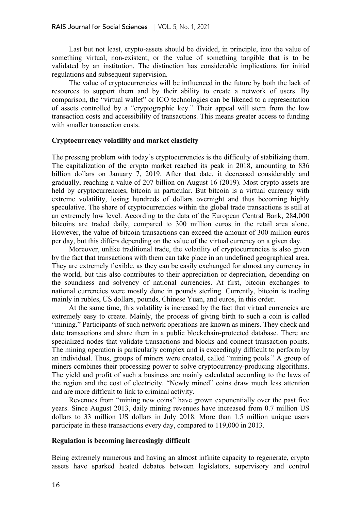Last but not least, crypto-assets should be divided, in principle, into the value of something virtual, non-existent, or the value of something tangible that is to be validated by an institution. The distinction has considerable implications for initial regulations and subsequent supervision.

The value of cryptocurrencies will be influenced in the future by both the lack of resources to support them and by their ability to create a network of users. By comparison, the "virtual wallet" or ICO technologies can be likened to a representation of assets controlled by a "cryptographic key." Their appeal will stem from the low transaction costs and accessibility of transactions. This means greater access to funding with smaller transaction costs.

## **Cryptocurrency volatility and market elasticity**

The pressing problem with today's cryptocurrencies is the difficulty of stabilizing them. The capitalization of the crypto market reached its peak in 2018, amounting to 836 billion dollars on January 7, 2019. After that date, it decreased considerably and gradually, reaching a value of 207 billion on August 16 (2019). Most crypto assets are held by cryptocurrencies, bitcoin in particular. But bitcoin is a virtual currency with extreme volatility, losing hundreds of dollars overnight and thus becoming highly speculative. The share of cryptocurrencies within the global trade transactions is still at an extremely low level. According to the data of the European Central Bank, 284,000 bitcoins are traded daily, compared to 300 million euros in the retail area alone. However, the value of bitcoin transactions can exceed the amount of 300 million euros per day, but this differs depending on the value of the virtual currency on a given day.

Moreover, unlike traditional trade, the volatility of cryptocurrencies is also given by the fact that transactions with them can take place in an undefined geographical area. They are extremely flexible, as they can be easily exchanged for almost any currency in the world, but this also contributes to their appreciation or depreciation, depending on the soundness and solvency of national currencies. At first, bitcoin exchanges to national currencies were mostly done in pounds sterling. Currently, bitcoin is trading mainly in rubles, US dollars, pounds, Chinese Yuan, and euros, in this order.

At the same time, this volatility is increased by the fact that virtual currencies are extremely easy to create. Mainly, the process of giving birth to such a coin is called "mining." Participants of such network operations are known as miners. They check and date transactions and share them in a public blockchain-protected database. There are specialized nodes that validate transactions and blocks and connect transaction points. The mining operation is particularly complex and is exceedingly difficult to perform by an individual. Thus, groups of miners were created, called "mining pools." A group of miners combines their processing power to solve cryptocurrency-producing algorithms. The yield and profit of such a business are mainly calculated according to the laws of the region and the cost of electricity. "Newly mined" coins draw much less attention and are more difficult to link to criminal activity.

Revenues from "mining new coins" have grown exponentially over the past five years. Since August 2013, daily mining revenues have increased from 0.7 million US dollars to 33 million US dollars in July 2018. More than 1.5 million unique users participate in these transactions every day, compared to 119,000 in 2013.

#### **Regulation is becoming increasingly difficult**

Being extremely numerous and having an almost infinite capacity to regenerate, crypto assets have sparked heated debates between legislators, supervisory and control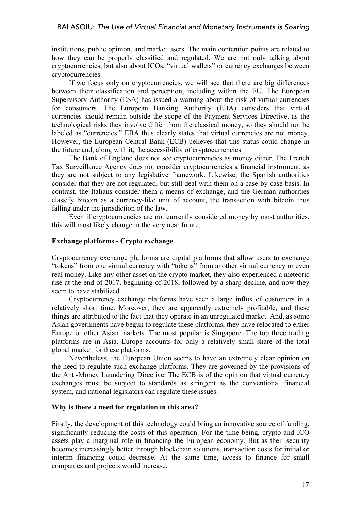institutions, public opinion, and market users. The main contention points are related to how they can be properly classified and regulated. We are not only talking about cryptocurrencies, but also about ICOs, "virtual wallets" or currency exchanges between cryptocurrencies.

If we focus only on cryptocurrencies, we will see that there are big differences between their classification and perception, including within the EU. The European Supervisory Authority (ESA) has issued a warning about the risk of virtual currencies for consumers. The European Banking Authority (EBA) considers that virtual currencies should remain outside the scope of the Payment Services Directive, as the technological risks they involve differ from the classical money, so they should not be labeled as "currencies." EBA thus clearly states that virtual currencies are not money. However, the European Central Bank (ECB) believes that this status could change in the future and, along with it, the accessibility of cryptocurrencies.

The Bank of England does not see cryptocurrencies as money either. The French Tax Surveillance Agency does not consider cryptocurrencies a financial instrument, as they are not subject to any legislative framework. Likewise, the Spanish authorities consider that they are not regulated, but still deal with them on a case-by-case basis. In contrast, the Italians consider them a means of exchange, and the German authorities classify bitcoin as a currency-like unit of account, the transaction with bitcoin thus falling under the jurisdiction of the law.

Even if cryptocurrencies are not currently considered money by most authorities, this will most likely change in the very near future.

# **Exchange platforms - Crypto exchange**

Cryptocurrency exchange platforms are digital platforms that allow users to exchange "tokens" from one virtual currency with "tokens" from another virtual currency or even real money. Like any other asset on the crypto market, they also experienced a meteoric rise at the end of 2017, beginning of 2018, followed by a sharp decline, and now they seem to have stabilized.

Cryptocurrency exchange platforms have seen a large influx of customers in a relatively short time. Moreover, they are apparently extremely profitable, and these things are attributed to the fact that they operate in an unregulated market. And, as some Asian governments have begun to regulate these platforms, they have relocated to either Europe or other Asian markets. The most popular is Singapore. The top three trading platforms are in Asia. Europe accounts for only a relatively small share of the total global market for these platforms.

Nevertheless, the European Union seems to have an extremely clear opinion on the need to regulate such exchange platforms. They are governed by the provisions of the Anti-Money Laundering Directive. The ECB is of the opinion that virtual currency exchanges must be subject to standards as stringent as the conventional financial system, and national legislators can regulate these issues.

## **Why is there a need for regulation in this area?**

Firstly, the development of this technology could bring an innovative source of funding, significantly reducing the costs of this operation. For the time being, crypto and ICO assets play a marginal role in financing the European economy. But as their security becomes increasingly better through blockchain solutions, transaction costs for initial or interim financing could decrease. At the same time, access to finance for small companies and projects would increase.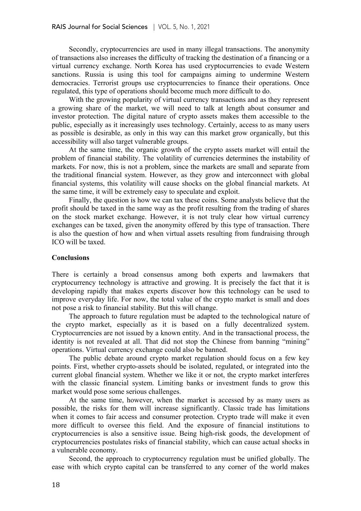Secondly, cryptocurrencies are used in many illegal transactions. The anonymity of transactions also increases the difficulty of tracking the destination of a financing or a virtual currency exchange. North Korea has used cryptocurrencies to evade Western sanctions. Russia is using this tool for campaigns aiming to undermine Western democracies. Terrorist groups use cryptocurrencies to finance their operations. Once regulated, this type of operations should become much more difficult to do.

With the growing popularity of virtual currency transactions and as they represent a growing share of the market, we will need to talk at length about consumer and investor protection. The digital nature of crypto assets makes them accessible to the public, especially as it increasingly uses technology. Certainly, access to as many users as possible is desirable, as only in this way can this market grow organically, but this accessibility will also target vulnerable groups.

At the same time, the organic growth of the crypto assets market will entail the problem of financial stability. The volatility of currencies determines the instability of markets. For now, this is not a problem, since the markets are small and separate from the traditional financial system. However, as they grow and interconnect with global financial systems, this volatility will cause shocks on the global financial markets. At the same time, it will be extremely easy to speculate and exploit.

Finally, the question is how we can tax these coins. Some analysts believe that the profit should be taxed in the same way as the profit resulting from the trading of shares on the stock market exchange. However, it is not truly clear how virtual currency exchanges can be taxed, given the anonymity offered by this type of transaction. There is also the question of how and when virtual assets resulting from fundraising through ICO will be taxed.

## **Conclusions**

There is certainly a broad consensus among both experts and lawmakers that cryptocurrency technology is attractive and growing. It is precisely the fact that it is developing rapidly that makes experts discover how this technology can be used to improve everyday life. For now, the total value of the crypto market is small and does not pose a risk to financial stability. But this will change.

The approach to future regulation must be adapted to the technological nature of the crypto market, especially as it is based on a fully decentralized system. Cryptocurrencies are not issued by a known entity. And in the transactional process, the identity is not revealed at all. That did not stop the Chinese from banning "mining" operations. Virtual currency exchange could also be banned.

The public debate around crypto market regulation should focus on a few key points. First, whether crypto-assets should be isolated, regulated, or integrated into the current global financial system. Whether we like it or not, the crypto market interferes with the classic financial system. Limiting banks or investment funds to grow this market would pose some serious challenges.

At the same time, however, when the market is accessed by as many users as possible, the risks for them will increase significantly. Classic trade has limitations when it comes to fair access and consumer protection. Crypto trade will make it even more difficult to oversee this field. And the exposure of financial institutions to cryptocurrencies is also a sensitive issue. Being high-risk goods, the development of cryptocurrencies postulates risks of financial stability, which can cause actual shocks in a vulnerable economy.

Second, the approach to cryptocurrency regulation must be unified globally. The ease with which crypto capital can be transferred to any corner of the world makes